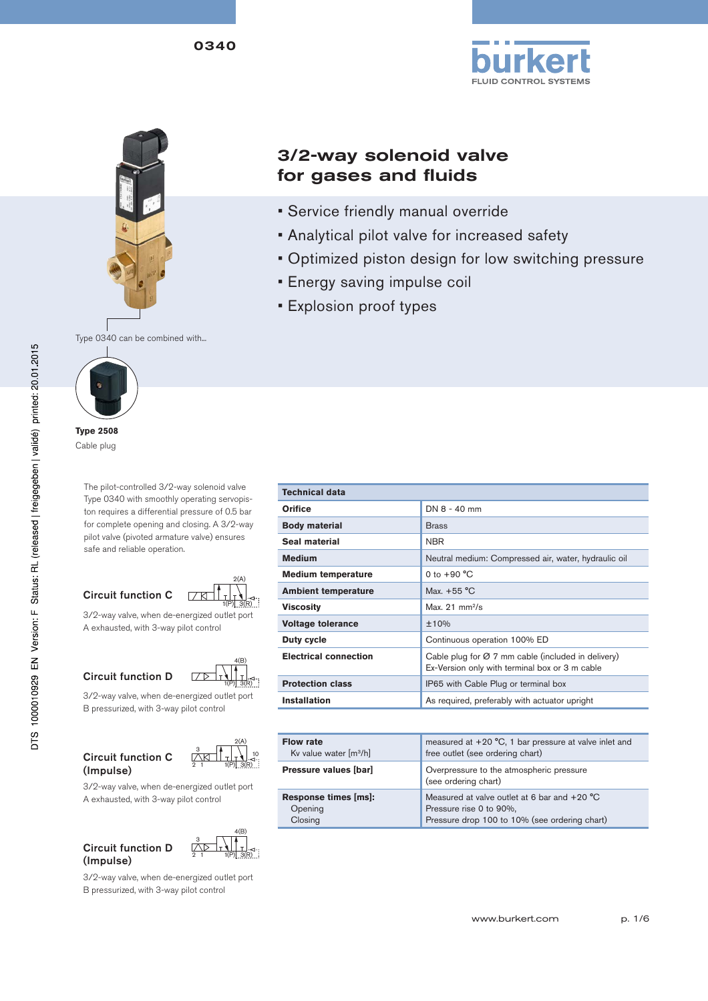



# 3/2-way solenoid valve for gases and fluids

- Service friendly manual override
- Analytical pilot valve for increased safety
- Optimized piston design for low switching pressure
- Energy saving impulse coil
- Explosion proof types



**Type 2508** Cable plug

The pilot-controlled 3/2-way solenoid valve Type 0340 with smoothly operating servopiston requires a differential pressure of 0.5 bar for complete opening and closing. A 3/2-way pilot valve (pivoted armature valve) ensures safe and reliable operation.









Circuit function D 3/2-way valve, when de-energized outlet port B pressurized, with 3-way pilot control



3/2-way valve, when de-energized outlet port A exhausted, with 3-way pilot control

(Impulse)

(Impulse)

Circuit function D



3/2-way valve, when de-energized outlet port B pressurized, with 3-way pilot control

| <b>Technical data</b>        |                                                                                                                  |
|------------------------------|------------------------------------------------------------------------------------------------------------------|
| Orifice                      | $DN 8 - 40$ mm                                                                                                   |
| <b>Body material</b>         | <b>Brass</b>                                                                                                     |
| Seal material                | <b>NBR</b>                                                                                                       |
| <b>Medium</b>                | Neutral medium: Compressed air, water, hydraulic oil                                                             |
| <b>Medium temperature</b>    | 0 to $+90 °C$                                                                                                    |
| <b>Ambient temperature</b>   | Max. $+55^{\circ}$ C                                                                                             |
| <b>Viscosity</b>             | Max. $21 \text{ mm}^2$ /s                                                                                        |
| <b>Voltage tolerance</b>     | ±10%                                                                                                             |
| Duty cycle                   | Continuous operation 100% ED                                                                                     |
| <b>Electrical connection</b> | Cable plug for $\varnothing$ 7 mm cable (included in delivery)<br>Ex-Version only with terminal box or 3 m cable |
| <b>Protection class</b>      | IP65 with Cable Plug or terminal box                                                                             |
| <b>Installation</b>          | As required, preferably with actuator upright                                                                    |

| <b>Flow rate</b><br>Kv value water $\lceil m^3/h \rceil$ | measured at $+20$ °C, 1 bar pressure at valve inlet and<br>free outlet (see ordering chart)                                |
|----------------------------------------------------------|----------------------------------------------------------------------------------------------------------------------------|
| Pressure values [bar]                                    | Overpressure to the atmospheric pressure<br>(see ordering chart)                                                           |
| Response times [ms]:<br>Opening<br>Closing               | Measured at valve outlet at 6 bar and $+20$ °C<br>Pressure rise 0 to 90%,<br>Pressure drop 100 to 10% (see ordering chart) |
|                                                          |                                                                                                                            |

www.burkert.com p. 1/6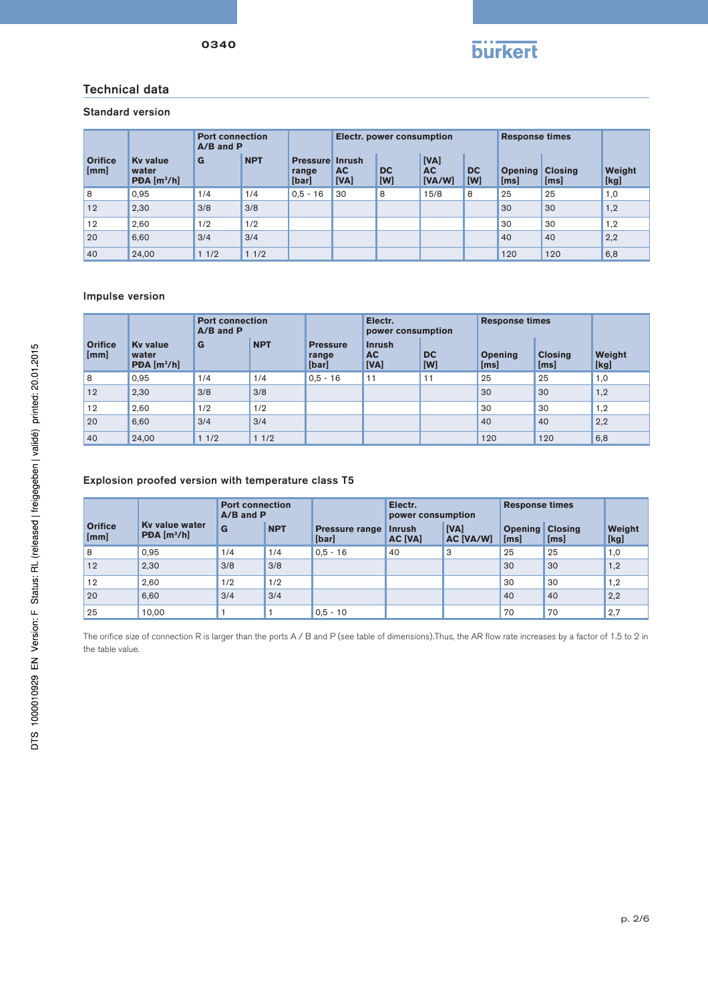

### Technical data

## Standard version

|                        |                                                     | <b>Port connection</b><br>$A/B$ and $P$ |            |                                          |                   |                  | Electr. power consumption   |                  |                                | <b>Response times</b> |                |
|------------------------|-----------------------------------------------------|-----------------------------------------|------------|------------------------------------------|-------------------|------------------|-----------------------------|------------------|--------------------------------|-----------------------|----------------|
| <b>Orifice</b><br>[mm] | <b>Ky value</b><br>water<br>PDA [m <sup>3</sup> /h] | G                                       | <b>NPT</b> | <b>Pressure Inrush</b><br>range<br>[bar] | <b>AC</b><br>[VA] | <b>DC</b><br>[W] | [VA]<br><b>AC</b><br>[VA/W] | <b>DC</b><br>[W] | <b>Opening Closing</b><br>[ms] | [ms]                  | Weight<br>[kg] |
| 8                      | 0.95                                                | 1/4                                     | 1/4        | $0.5 - 16$                               | 30                | 8                | 15/8                        | 8                | 25                             | 25                    | 1,0            |
| 12                     | 2,30                                                | 3/8                                     | 3/8        |                                          |                   |                  |                             |                  | 30                             | 30                    | 1,2            |
| 12                     | 2.60                                                | 1/2                                     | 1/2        |                                          |                   |                  |                             |                  | 30                             | 30                    | 1,2            |
| 20                     | 6,60                                                | 3/4                                     | 3/4        |                                          |                   |                  |                             |                  | 40                             | 40                    | 2,2            |
| 40                     | 24,00                                               | 11/2                                    | 11/2       |                                          |                   |                  |                             |                  | 120                            | 120                   | 6,8            |

#### Impulse version

|                        |                                                     | <b>Port connection</b><br>$A/B$ and $P$ |            | Electr.<br>power consumption      |                                    |                  | <b>Response times</b>  |                        |                |
|------------------------|-----------------------------------------------------|-----------------------------------------|------------|-----------------------------------|------------------------------------|------------------|------------------------|------------------------|----------------|
| <b>Orifice</b><br>[mm] | <b>Ky value</b><br>water<br>PDA [m <sup>3</sup> /h] | G                                       | <b>NPT</b> | <b>Pressure</b><br>range<br>[bar] | <b>Inrush</b><br><b>AC</b><br>[VA] | <b>DC</b><br>[W] | <b>Opening</b><br>[ms] | <b>Closing</b><br>[ms] | Weight<br>[kg] |
| 8                      | 0.95                                                | 1/4                                     | 1/4        | $0.5 - 16$                        | 11                                 | 11               | 25                     | 25                     | 1,0            |
| 12                     | 2,30                                                | 3/8                                     | 3/8        |                                   |                                    |                  | 30                     | 30                     | 1,2            |
| 12                     | 2,60                                                | 1/2                                     | 1/2        |                                   |                                    |                  | 30                     | 30                     | 1,2            |
| 20                     | 6.60                                                | 3/4                                     | 3/4        |                                   |                                    |                  | 40                     | 40                     | 2,2            |
| 40                     | 24,00                                               | 11/2                                    | 11/2       |                                   |                                    |                  | 120                    | 120                    | 6,8            |

#### Explosion proofed version with temperature class T5

|                        |                                           | <b>Port connection</b><br>$A/B$ and $P$ |            |                                | Electr.<br>power consumption    |                   | <b>Response times</b>          |      |                |
|------------------------|-------------------------------------------|-----------------------------------------|------------|--------------------------------|---------------------------------|-------------------|--------------------------------|------|----------------|
| <b>Orifice</b><br>[mm] | Ky value water<br>PDA [m <sup>3</sup> /h] | G                                       | <b>NPT</b> | <b>Pressure range</b><br>[bar] | <b>Inrush</b><br><b>AC [VA]</b> | [VA]<br>AC [VA/W] | <b>Opening Closing</b><br>[ms] | [ms] | Weight<br>[kg] |
| 8                      | 0.95                                      | 1/4                                     | 1/4        | $0.5 - 16$                     | 40                              | 3                 | 25                             | 25   | 1,0            |
| 12                     | 2,30                                      | 3/8                                     | 3/8        |                                |                                 |                   | 30                             | 30   | 1,2            |
| 12                     | 2.60                                      | 1/2                                     | 1/2        |                                |                                 |                   | 30                             | 30   | 1,2            |
| 20                     | 6,60                                      | 3/4                                     | 3/4        |                                |                                 |                   | 40                             | 40   | 2,2            |
| 25                     | 10.00                                     |                                         |            | $0.5 - 10$                     |                                 |                   | 70                             | 70   | 2,7            |

The orifice size of connection R is larger than the ports A / B and P (see table of dimensions).Thus, the AR flow rate increases by a factor of 1.5 to 2 in the table value.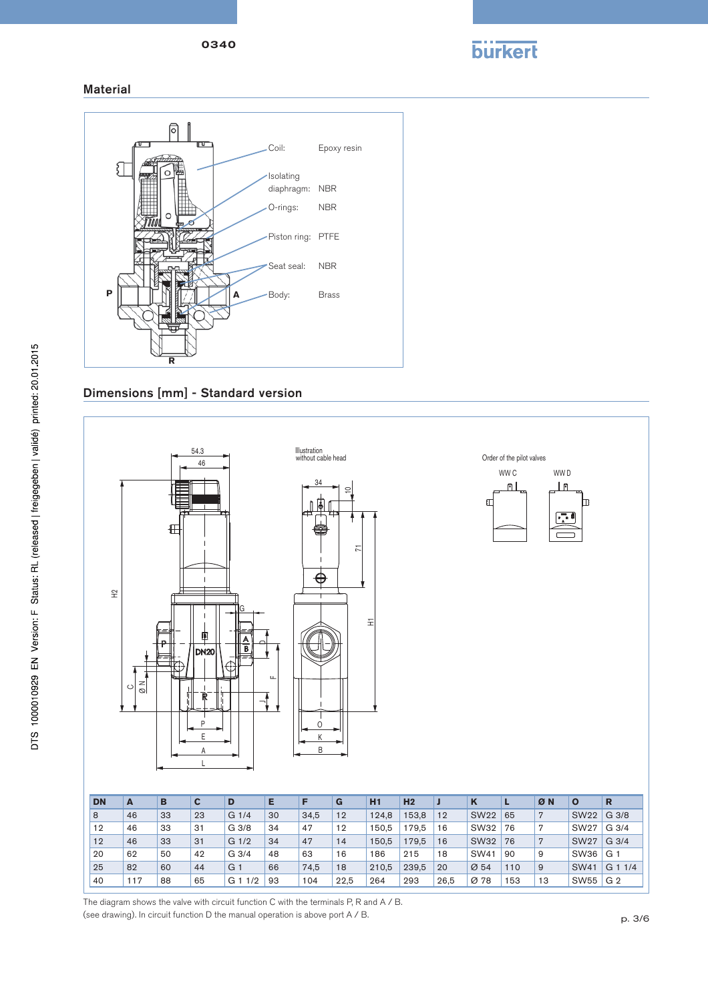0340



Material



Dimensions [mm] - Standard version



The diagram shows the valve with circuit function C with the terminals P, R and A / B. (see drawing). In circuit function D the manual operation is above port A / B.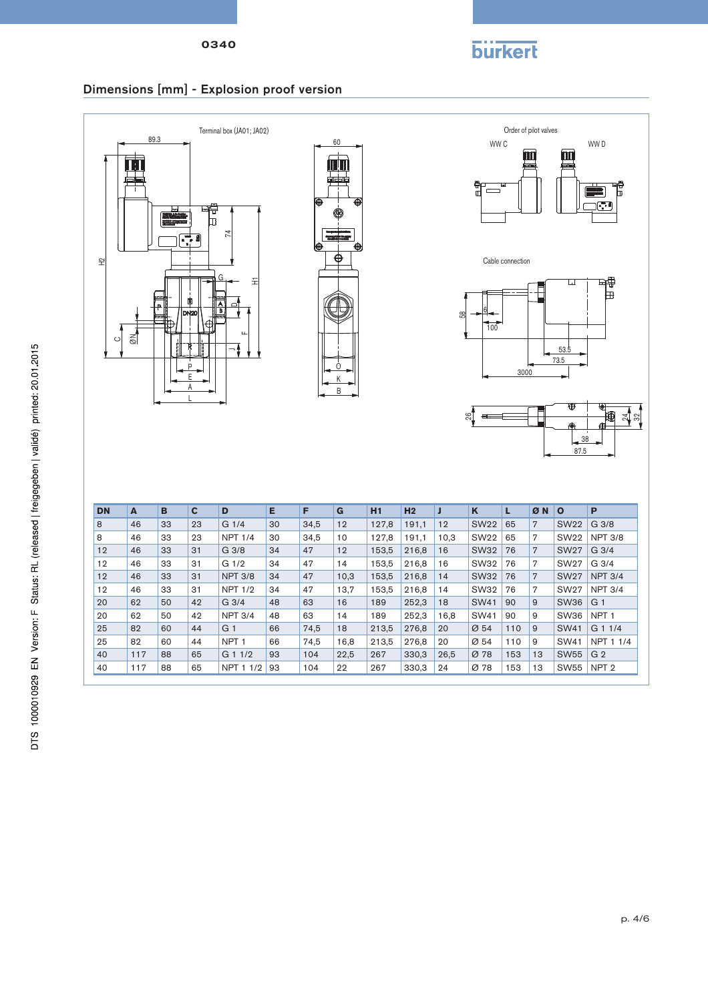0340



## Dimensions [mm] - Explosion proof version



40 117 88 65 G 1 1/2 93 104 22,5 267 330,3 26,5 Ø 78 153 13 SW55 G 2 40 117 88 65 NPT 1 1/2 93 104 22 267 330,3 24 Ø 78 153 13 SW55 NPT 2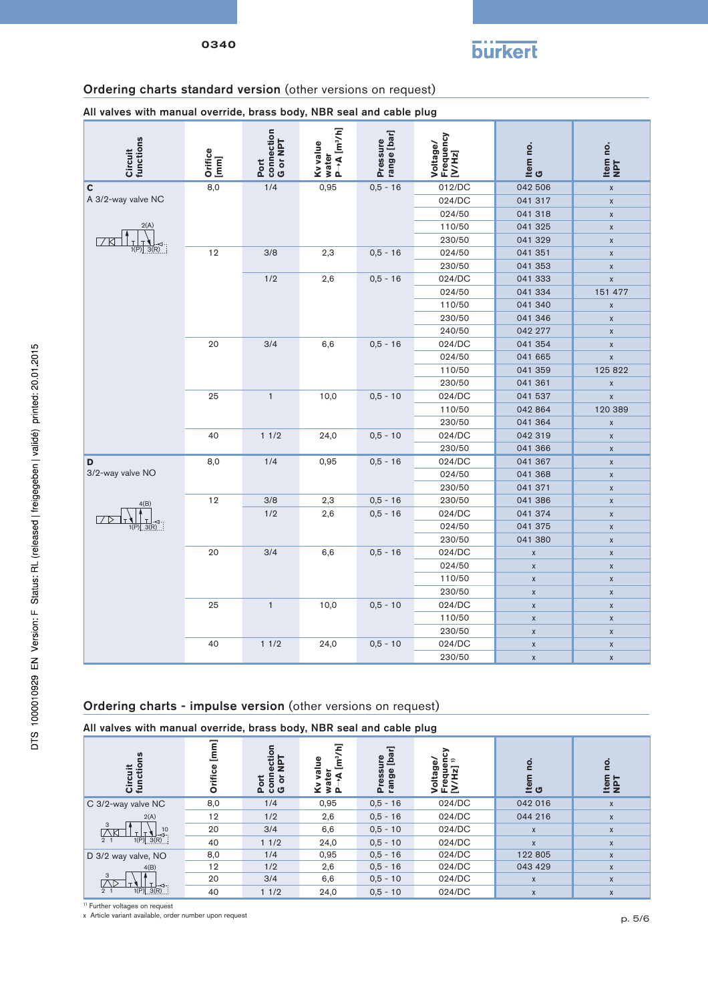

# Ordering charts standard version (other versions on request)

All valves with manual override, brass body, NBR seal and cable plug

| functions<br>Circuit  | Orifice<br>[mm] | connection<br>G or NPT<br>Port | water<br> P→A [m <sup>3</sup> /h]<br>Ky value | Pressure<br>range [bar] | Voltage/<br>Frequency<br>[V/Hz] | ltem no.<br>G      | Item no.<br>NPT    |
|-----------------------|-----------------|--------------------------------|-----------------------------------------------|-------------------------|---------------------------------|--------------------|--------------------|
| C                     | 8,0             | 1/4                            | 0,95                                          | $0,5 - 16$              | 012/DC                          | 042 506            | $\pmb{\mathsf{X}}$ |
| A 3/2-way valve NC    |                 |                                |                                               |                         | 024/DC                          | 041 317            | $\pmb{\chi}$       |
|                       |                 |                                |                                               |                         | 024/50                          | 041 318            | $\mathsf X$        |
| 2(A)                  |                 |                                |                                               |                         | 110/50                          | 041 325            | $\pmb{\chi}$       |
|                       |                 |                                |                                               |                         | 230/50                          | 041 329            | $\pmb{\chi}$       |
| $1(P)$ $3(R)$         | 12              | 3/8                            | 2,3                                           | $0,5 - 16$              | 024/50                          | 041 351            | $\pmb{\chi}$       |
|                       |                 |                                |                                               |                         | 230/50                          | 041 353            | $\pmb{\mathsf{X}}$ |
|                       |                 | 1/2                            | 2,6                                           | $0,5 - 16$              | 024/DC                          | 041 333            | $\pmb{\mathsf{X}}$ |
|                       |                 |                                |                                               |                         | 024/50                          | 041 334            | 151 477            |
|                       |                 |                                |                                               |                         | 110/50                          | 041 340            | $\pmb{\mathsf{X}}$ |
|                       |                 |                                |                                               |                         | 230/50                          | 041 346            | $\pmb{\chi}$       |
|                       |                 |                                |                                               |                         | 240/50                          | 042 277            | $\pmb{\chi}$       |
|                       | 20              | 3/4                            | 6,6                                           | $0,5 - 16$              | 024/DC                          | 041 354            | $\pmb{\mathsf{X}}$ |
|                       |                 |                                |                                               |                         | 024/50                          | 041 665            | $\pmb{\mathsf{X}}$ |
|                       |                 |                                |                                               |                         | 110/50                          | 041 359            | 125 822            |
|                       |                 |                                |                                               |                         | 230/50                          | 041 361            | $\pmb{\chi}$       |
|                       | 25              | $\mathbf{1}$                   | 10,0                                          | $0,5 - 10$              | 024/DC                          | 041 537            | $\pmb{\chi}$       |
|                       |                 |                                |                                               |                         | 110/50                          | 042 864            | 120 389            |
|                       |                 |                                |                                               |                         | 230/50                          | 041 364            | $\pmb{\mathsf{X}}$ |
|                       | 40              | 11/2                           | 24,0                                          | $0,5 - 10$              | 024/DC                          | 042 319            | $\pmb{\mathsf{X}}$ |
|                       |                 |                                |                                               |                         | 230/50                          | 041 366            | $\mathsf X$        |
| D                     | 8,0             | 1/4                            | 0,95                                          | $0,5 - 16$              | 024/DC                          | 041 367            | $\mathsf X$        |
| 3/2-way valve NO      |                 |                                |                                               |                         | 024/50                          | 041 368            | $\pmb{\mathsf{X}}$ |
|                       |                 |                                |                                               |                         | 230/50                          | 041 371            | $\pmb{\mathsf{X}}$ |
| 4(B)                  | 12              | 3/8                            | 2,3                                           | $0,5 - 16$              | 230/50                          | 041 386            | $\pmb{\mathsf{X}}$ |
| 고                     |                 | 1/2                            | 2,6                                           | $0,5 - 16$              | 024/DC                          | 041 374            | $\mathsf X$        |
| $\frac{1}{1(P)}$ 3(R) |                 |                                |                                               |                         | 024/50                          | 041 375            | $\pmb{\mathsf{X}}$ |
|                       |                 |                                |                                               |                         | 230/50                          | 041 380            | $\pmb{\mathsf{X}}$ |
|                       | 20              | 3/4                            | 6,6                                           | $0,5 - 16$              | 024/DC                          | $\pmb{\mathsf{X}}$ | $\pmb{\mathsf{X}}$ |
|                       |                 |                                |                                               |                         | 024/50                          | $\pmb{\chi}$       | $\pmb{\chi}$       |
|                       |                 |                                |                                               |                         | 110/50                          | $\pmb{\mathsf{X}}$ | $\mathsf X$        |
|                       |                 |                                |                                               |                         | 230/50                          | $\pmb{\mathsf{X}}$ | $\pmb{\mathsf{X}}$ |
|                       | 25              | $\mathbf{1}$                   | 10,0                                          | $0,5 - 10$              | 024/DC                          | $\pmb{\chi}$       | $\pmb{\mathsf{X}}$ |
|                       |                 |                                |                                               |                         | 110/50                          | $\pmb{\chi}$       | $\pmb{\chi}$       |
|                       |                 |                                |                                               |                         | 230/50                          | $\pmb{\mathsf{X}}$ | $\pmb{\mathsf{X}}$ |
|                       | 40              | 11/2                           | 24,0                                          | $0,5 - 10$              | 024/DC                          | $\pmb{\mathsf{X}}$ | $\pmb{\mathsf{X}}$ |
|                       |                 |                                |                                               |                         | 230/50                          | $\pmb{\mathsf{X}}$ | $\pmb{\mathsf{X}}$ |

## Ordering charts - impulse version (other versions on request)

All valves with manual override, brass body, NBR seal and cable plug

| <b>SD</b><br>د،<br>ភូគ្                             | Ο   | ction<br><b>TdN</b><br>ŏ<br>ā<br><b>Por</b><br>ු ය | Ξ<br>g<br>ក្ខ<br>Φ<br>ίΩ.<br>۵ ≤<br>Ý. | re<br>[bar]<br>Pressi<br>range | 고<br>ω<br>$\circ$ | Ö<br>။<br>မီ | Tem<br>NPT         |
|-----------------------------------------------------|-----|----------------------------------------------------|----------------------------------------|--------------------------------|-------------------|--------------|--------------------|
| C 3/2-way valve NC                                  | 8,0 | 1/4                                                | 0,95                                   | $0,5 - 16$                     | 024/DC            | 042 016      | $\pmb{\times}$     |
| 2(A)<br>3<br>$-3^{10}$<br><b>NX</b>                 | 12  | 1/2                                                | 2,6                                    | $0.5 - 16$                     | 024/DC            | 044 216      | $\pmb{\mathsf{X}}$ |
|                                                     | 20  | 3/4                                                | 6,6                                    | $0,5 - 10$                     | 024/DC            | $\mathsf{X}$ | $\boldsymbol{X}$   |
| 1(P) 3(R)<br>2 <sub>1</sub>                         | 40  | 11/2                                               | 24,0                                   | $0,5 - 10$                     | 024/DC            | $\mathsf{x}$ | $\mathsf{x}$       |
| D 3/2 way valve, NO                                 | 8,0 | 1/4                                                | 0,95                                   | $0,5 - 16$                     | 024/DC            | 122 805      | X                  |
| 4(B)                                                | 12  | 1/2                                                | 2,6                                    | $0,5 - 16$                     | 024/DC            | 043 429      | $\mathsf{x}$       |
| 3                                                   | 20  | 3/4                                                | 6,6                                    | $0,5 - 10$                     | 024/DC            | $\mathsf{X}$ | X                  |
| $\frac{1}{1(P)}$ $\frac{1}{3(R)}$<br>2 <sub>1</sub> | 40  | 11/2                                               | 24,0                                   | $0,5 - 10$                     | 024/DC            | X            | X                  |

1) Further voltages on request

x Article variant available, order number upon request